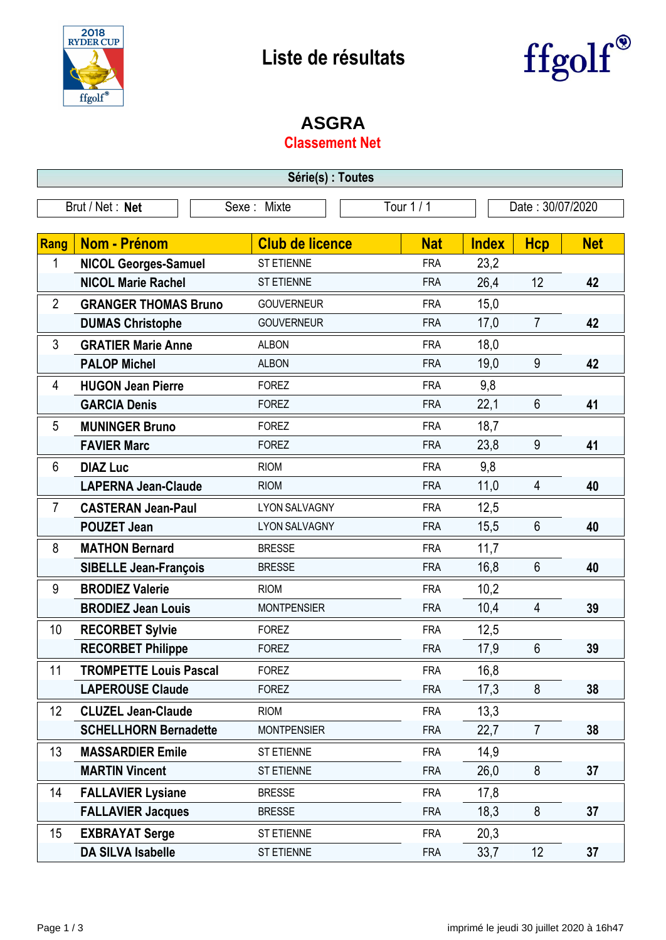



## **ASGRA**

## **Classement Net**

| Série(s) : Toutes                                                |                               |                        |            |              |                |            |  |
|------------------------------------------------------------------|-------------------------------|------------------------|------------|--------------|----------------|------------|--|
| Tour 1 / 1<br>Brut / Net: Net<br>Date: 30/07/2020<br>Sexe: Mixte |                               |                        |            |              |                |            |  |
|                                                                  |                               |                        |            |              |                |            |  |
| Rang                                                             | <b>Nom - Prénom</b>           | <b>Club de licence</b> | <b>Nat</b> | <b>Index</b> | <b>Hcp</b>     | <b>Net</b> |  |
| 1                                                                | <b>NICOL Georges-Samuel</b>   | <b>ST ETIENNE</b>      | <b>FRA</b> | 23,2         |                |            |  |
|                                                                  | <b>NICOL Marie Rachel</b>     | <b>ST ETIENNE</b>      | <b>FRA</b> | 26,4         | 12             | 42         |  |
| $\overline{2}$                                                   | <b>GRANGER THOMAS Bruno</b>   | <b>GOUVERNEUR</b>      | <b>FRA</b> | 15,0         |                |            |  |
|                                                                  | <b>DUMAS Christophe</b>       | <b>GOUVERNEUR</b>      | <b>FRA</b> | 17,0         | $\overline{7}$ | 42         |  |
| 3                                                                | <b>GRATIER Marie Anne</b>     | <b>ALBON</b>           | <b>FRA</b> | 18,0         |                |            |  |
|                                                                  | <b>PALOP Michel</b>           | <b>ALBON</b>           | <b>FRA</b> | 19,0         | 9              | 42         |  |
| 4                                                                | <b>HUGON Jean Pierre</b>      | <b>FOREZ</b>           | <b>FRA</b> | 9,8          |                |            |  |
|                                                                  | <b>GARCIA Denis</b>           | <b>FOREZ</b>           | <b>FRA</b> | 22,1         | 6              | 41         |  |
| 5                                                                | <b>MUNINGER Bruno</b>         | <b>FOREZ</b>           | <b>FRA</b> | 18,7         |                |            |  |
|                                                                  | <b>FAVIER Marc</b>            | <b>FOREZ</b>           | <b>FRA</b> | 23,8         | 9              | 41         |  |
| 6                                                                | <b>DIAZ Luc</b>               | <b>RIOM</b>            | <b>FRA</b> | 9,8          |                |            |  |
|                                                                  | <b>LAPERNA Jean-Claude</b>    | <b>RIOM</b>            | <b>FRA</b> | 11,0         | 4              | 40         |  |
| $\overline{7}$                                                   | <b>CASTERAN Jean-Paul</b>     | <b>LYON SALVAGNY</b>   | <b>FRA</b> | 12,5         |                |            |  |
|                                                                  | <b>POUZET Jean</b>            | <b>LYON SALVAGNY</b>   | <b>FRA</b> | 15,5         | 6              | 40         |  |
| 8                                                                | <b>MATHON Bernard</b>         | <b>BRESSE</b>          | <b>FRA</b> | 11,7         |                |            |  |
|                                                                  | <b>SIBELLE Jean-François</b>  | <b>BRESSE</b>          | <b>FRA</b> | 16,8         | 6              | 40         |  |
| 9                                                                | <b>BRODIEZ Valerie</b>        | <b>RIOM</b>            | <b>FRA</b> | 10,2         |                |            |  |
|                                                                  | <b>BRODIEZ Jean Louis</b>     | <b>MONTPENSIER</b>     | <b>FRA</b> | 10,4         | 4              | 39         |  |
| 10                                                               | <b>RECORBET Sylvie</b>        | <b>FOREZ</b>           | <b>FRA</b> | 12,5         |                |            |  |
|                                                                  | <b>RECORBET Philippe</b>      | <b>FOREZ</b>           | <b>FRA</b> | 17,9         | 6              | 39         |  |
| 11                                                               | <b>TROMPETTE Louis Pascal</b> | <b>FOREZ</b>           | <b>FRA</b> | 16,8         |                |            |  |
|                                                                  | <b>LAPEROUSE Claude</b>       | <b>FOREZ</b>           | <b>FRA</b> | 17,3         | 8              | 38         |  |
| 12                                                               | <b>CLUZEL Jean-Claude</b>     | <b>RIOM</b>            | <b>FRA</b> | 13,3         |                |            |  |
|                                                                  | <b>SCHELLHORN Bernadette</b>  | <b>MONTPENSIER</b>     | <b>FRA</b> | 22,7         | $\overline{7}$ | 38         |  |
| 13                                                               | <b>MASSARDIER Emile</b>       | ST ETIENNE             | <b>FRA</b> | 14,9         |                |            |  |
|                                                                  | <b>MARTIN Vincent</b>         | <b>ST ETIENNE</b>      | <b>FRA</b> | 26,0         | 8              | 37         |  |
| 14                                                               | <b>FALLAVIER Lysiane</b>      | <b>BRESSE</b>          | <b>FRA</b> | 17,8         |                |            |  |
|                                                                  | <b>FALLAVIER Jacques</b>      | <b>BRESSE</b>          | <b>FRA</b> | 18,3         | 8              | 37         |  |
| 15                                                               | <b>EXBRAYAT Serge</b>         | ST ETIENNE             | <b>FRA</b> | 20,3         |                |            |  |
|                                                                  | <b>DA SILVA Isabelle</b>      | ST ETIENNE             | <b>FRA</b> | 33,7         | 12             | 37         |  |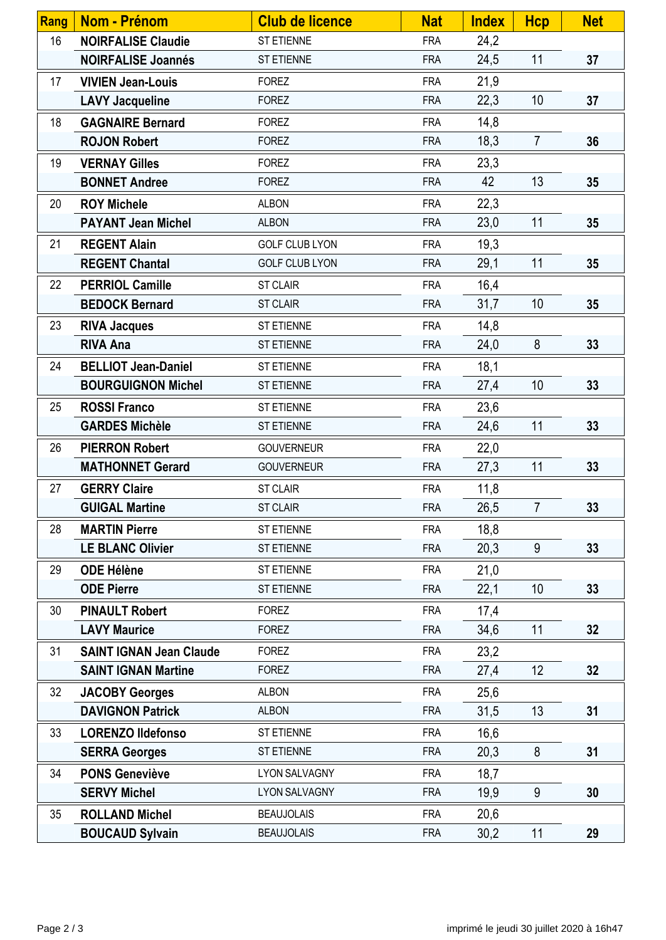| Rang | <b>Nom - Prénom</b>            | <b>Club de licence</b> | <b>Nat</b> | <b>Index</b> | <b>Hcp</b>     | <b>Net</b> |
|------|--------------------------------|------------------------|------------|--------------|----------------|------------|
| 16   | <b>NOIRFALISE Claudie</b>      | ST ETIENNE             | <b>FRA</b> | 24,2         |                |            |
|      | <b>NOIRFALISE Joannés</b>      | ST ETIENNE             | <b>FRA</b> | 24,5         | 11             | 37         |
| 17   | <b>VIVIEN Jean-Louis</b>       | <b>FOREZ</b>           | <b>FRA</b> | 21,9         |                |            |
|      | <b>LAVY Jacqueline</b>         | <b>FOREZ</b>           | <b>FRA</b> | 22,3         | 10             | 37         |
| 18   | <b>GAGNAIRE Bernard</b>        | <b>FOREZ</b>           | <b>FRA</b> | 14,8         |                |            |
|      | <b>ROJON Robert</b>            | <b>FOREZ</b>           | <b>FRA</b> | 18,3         | $\overline{7}$ | 36         |
| 19   | <b>VERNAY Gilles</b>           | <b>FOREZ</b>           | <b>FRA</b> | 23,3         |                |            |
|      | <b>BONNET Andree</b>           | <b>FOREZ</b>           | <b>FRA</b> | 42           | 13             | 35         |
| 20   | <b>ROY Michele</b>             | <b>ALBON</b>           | <b>FRA</b> | 22,3         |                |            |
|      | <b>PAYANT Jean Michel</b>      | <b>ALBON</b>           | <b>FRA</b> | 23,0         | 11             | 35         |
| 21   | <b>REGENT Alain</b>            | <b>GOLF CLUB LYON</b>  | <b>FRA</b> | 19,3         |                |            |
|      | <b>REGENT Chantal</b>          | <b>GOLF CLUB LYON</b>  | <b>FRA</b> | 29,1         | 11             | 35         |
| 22   | <b>PERRIOL Camille</b>         | <b>ST CLAIR</b>        | <b>FRA</b> | 16,4         |                |            |
|      | <b>BEDOCK Bernard</b>          | <b>ST CLAIR</b>        | <b>FRA</b> | 31,7         | 10             | 35         |
| 23   | <b>RIVA Jacques</b>            | ST ETIENNE             | <b>FRA</b> | 14,8         |                |            |
|      | <b>RIVA Ana</b>                | <b>ST ETIENNE</b>      | <b>FRA</b> | 24,0         | 8              | 33         |
| 24   | <b>BELLIOT Jean-Daniel</b>     | ST ETIENNE             | <b>FRA</b> | 18,1         |                |            |
|      | <b>BOURGUIGNON Michel</b>      | <b>ST ETIENNE</b>      | <b>FRA</b> | 27,4         | 10             | 33         |
| 25   | <b>ROSSI Franco</b>            | ST ETIENNE             | <b>FRA</b> | 23,6         |                |            |
|      | <b>GARDES Michèle</b>          | ST ETIENNE             | <b>FRA</b> | 24,6         | 11             | 33         |
| 26   | <b>PIERRON Robert</b>          | <b>GOUVERNEUR</b>      | <b>FRA</b> | 22,0         |                |            |
|      | <b>MATHONNET Gerard</b>        | <b>GOUVERNEUR</b>      | <b>FRA</b> | 27,3         | 11             | 33         |
| 27   | <b>GERRY Claire</b>            | <b>ST CLAIR</b>        | <b>FRA</b> | 11,8         |                |            |
|      | <b>GUIGAL Martine</b>          | <b>ST CLAIR</b>        | <b>FRA</b> | 26,5         | $\overline{7}$ | 33         |
| 28   | <b>MARTIN Pierre</b>           | <b>ST ETIENNE</b>      | <b>FRA</b> | 18,8         |                |            |
|      | <b>LE BLANC Olivier</b>        | ST ETIENNE             | <b>FRA</b> | 20,3         | 9              | 33         |
| 29   | <b>ODE Hélène</b>              | ST ETIENNE             | <b>FRA</b> | 21,0         |                |            |
|      | <b>ODE Pierre</b>              | <b>ST ETIENNE</b>      | <b>FRA</b> | 22,1         | 10             | 33         |
| 30   | <b>PINAULT Robert</b>          | <b>FOREZ</b>           | <b>FRA</b> | 17,4         |                |            |
|      | <b>LAVY Maurice</b>            | <b>FOREZ</b>           | <b>FRA</b> | 34,6         | 11             | 32         |
| 31   | <b>SAINT IGNAN Jean Claude</b> | <b>FOREZ</b>           | <b>FRA</b> | 23,2         |                |            |
|      | <b>SAINT IGNAN Martine</b>     | <b>FOREZ</b>           | <b>FRA</b> | 27,4         | 12             | 32         |
| 32   | <b>JACOBY Georges</b>          | <b>ALBON</b>           | <b>FRA</b> | 25,6         |                |            |
|      | <b>DAVIGNON Patrick</b>        | <b>ALBON</b>           | <b>FRA</b> | 31,5         | 13             | 31         |
| 33   | <b>LORENZO Ildefonso</b>       | ST ETIENNE             | <b>FRA</b> | 16,6         |                |            |
|      | <b>SERRA Georges</b>           | ST ETIENNE             | <b>FRA</b> | 20,3         | 8              | 31         |
| 34   | <b>PONS Geneviève</b>          | <b>LYON SALVAGNY</b>   | <b>FRA</b> | 18,7         |                |            |
|      | <b>SERVY Michel</b>            | <b>LYON SALVAGNY</b>   | <b>FRA</b> | 19,9         | 9              | 30         |
| 35   | <b>ROLLAND Michel</b>          | <b>BEAUJOLAIS</b>      | <b>FRA</b> | 20,6         |                |            |
|      | <b>BOUCAUD Sylvain</b>         | <b>BEAUJOLAIS</b>      | <b>FRA</b> | 30,2         | 11             | 29         |